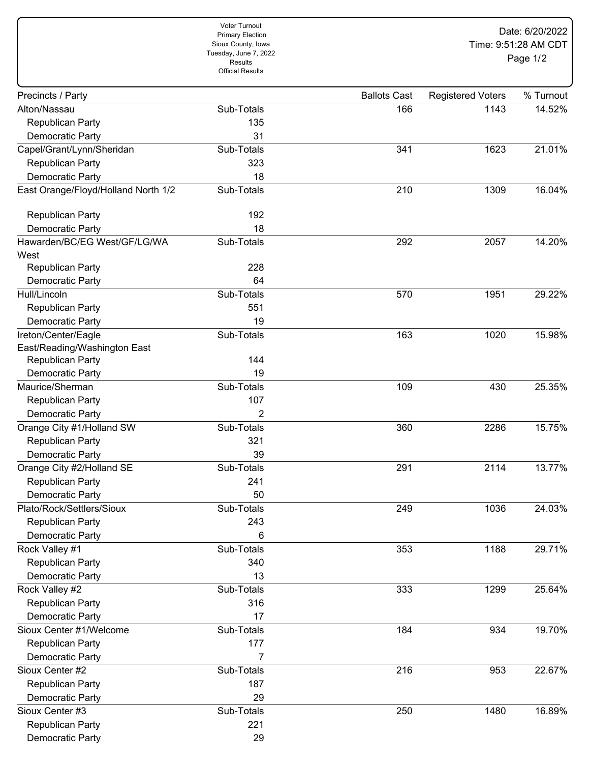|                                      | Voter Turnout<br><b>Primary Election</b><br>Sioux County, Iowa<br>Tuesday, June 7, 2022<br><b>Results</b><br><b>Official Results</b> | Date: 6/20/2022<br>Time: 9:51:28 AM CDT<br>Page 1/2 |                          |           |
|--------------------------------------|--------------------------------------------------------------------------------------------------------------------------------------|-----------------------------------------------------|--------------------------|-----------|
| Precincts / Party                    |                                                                                                                                      | <b>Ballots Cast</b>                                 | <b>Registered Voters</b> | % Turnout |
| Alton/Nassau                         | Sub-Totals                                                                                                                           | 166                                                 | 1143                     | 14.52%    |
| Republican Party                     | 135                                                                                                                                  |                                                     |                          |           |
| Democratic Party                     | 31                                                                                                                                   |                                                     |                          |           |
| Capel/Grant/Lynn/Sheridan            | Sub-Totals                                                                                                                           | 341                                                 | 1623                     | 21.01%    |
| Republican Party                     | 323                                                                                                                                  |                                                     |                          |           |
| Democratic Party                     | 18                                                                                                                                   |                                                     |                          |           |
| East Orange/Floyd/Holland North 1/2  | Sub-Totals                                                                                                                           | 210                                                 | 1309                     | 16.04%    |
| Republican Party                     | 192                                                                                                                                  |                                                     |                          |           |
| Democratic Party                     | 18                                                                                                                                   |                                                     |                          |           |
| Hawarden/BC/EG West/GF/LG/WA<br>West | Sub-Totals                                                                                                                           | 292                                                 | 2057                     | 14.20%    |
| Republican Party                     | 228                                                                                                                                  |                                                     |                          |           |
| Democratic Party                     | 64                                                                                                                                   |                                                     |                          |           |
| Hull/Lincoln                         | Sub-Totals                                                                                                                           | 570                                                 | 1951                     | 29.22%    |
| Republican Party                     | 551                                                                                                                                  |                                                     |                          |           |
| Democratic Party                     | 19                                                                                                                                   |                                                     |                          |           |
| Ireton/Center/Eagle                  | Sub-Totals                                                                                                                           | 163                                                 | 1020                     | 15.98%    |
| East/Reading/Washington East         |                                                                                                                                      |                                                     |                          |           |
| Republican Party                     | 144                                                                                                                                  |                                                     |                          |           |
| Democratic Party                     | 19                                                                                                                                   |                                                     |                          |           |
| Maurice/Sherman                      | Sub-Totals                                                                                                                           | 109                                                 | 430                      | 25.35%    |
| Republican Party                     | 107                                                                                                                                  |                                                     |                          |           |
| Democratic Party                     | 2                                                                                                                                    |                                                     |                          |           |
| Orange City #1/Holland SW            | Sub-Totals                                                                                                                           | 360                                                 | 2286                     | 15.75%    |
| Republican Party                     | 321                                                                                                                                  |                                                     |                          |           |
| Democratic Party                     | 39                                                                                                                                   |                                                     |                          |           |
| Orange City #2/Holland SE            | Sub-Totals                                                                                                                           | 291                                                 | 2114                     | 13.77%    |
| Republican Party                     | 241                                                                                                                                  |                                                     |                          |           |
| Democratic Party                     | 50                                                                                                                                   |                                                     |                          |           |
| Plato/Rock/Settlers/Sioux            | Sub-Totals                                                                                                                           | 249                                                 | 1036                     | 24.03%    |
| Republican Party                     | 243                                                                                                                                  |                                                     |                          |           |
| Democratic Party                     | 6                                                                                                                                    |                                                     |                          |           |
| Rock Valley #1                       | Sub-Totals                                                                                                                           | 353                                                 | 1188                     | 29.71%    |
| Republican Party                     | 340                                                                                                                                  |                                                     |                          |           |
| Democratic Party                     | 13                                                                                                                                   |                                                     |                          |           |
| Rock Valley #2                       | Sub-Totals                                                                                                                           | 333                                                 | 1299                     | 25.64%    |
| Republican Party                     | 316                                                                                                                                  |                                                     |                          |           |
| Democratic Party                     | 17                                                                                                                                   |                                                     |                          |           |
| Sioux Center #1/Welcome              | Sub-Totals                                                                                                                           | 184                                                 | 934                      | 19.70%    |
| Republican Party                     | 177                                                                                                                                  |                                                     |                          |           |
| Democratic Party                     | 7                                                                                                                                    |                                                     |                          |           |
| Sioux Center #2                      | Sub-Totals                                                                                                                           | 216                                                 | 953                      | 22.67%    |
| Republican Party                     | 187                                                                                                                                  |                                                     |                          |           |
| Democratic Party                     | 29                                                                                                                                   |                                                     |                          |           |
| Sioux Center #3                      | Sub-Totals                                                                                                                           | 250                                                 | 1480                     | 16.89%    |
| Republican Party                     | 221                                                                                                                                  |                                                     |                          |           |
| Democratic Party                     | 29                                                                                                                                   |                                                     |                          |           |